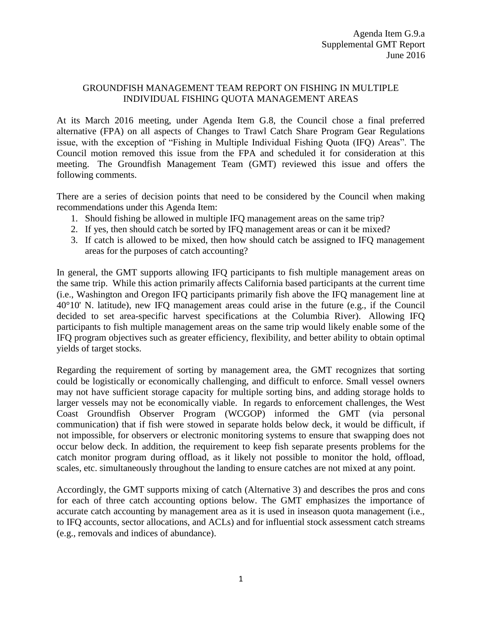### GROUNDFISH MANAGEMENT TEAM REPORT ON FISHING IN MULTIPLE INDIVIDUAL FISHING QUOTA MANAGEMENT AREAS

At its March 2016 meeting, under Agenda Item G.8, the Council chose a final preferred alternative (FPA) on all aspects of Changes to Trawl Catch Share Program Gear Regulations issue, with the exception of "Fishing in Multiple Individual Fishing Quota (IFQ) Areas". The Council motion removed this issue from the FPA and scheduled it for consideration at this meeting. The Groundfish Management Team (GMT) reviewed this issue and offers the following comments.

There are a series of decision points that need to be considered by the Council when making recommendations under this Agenda Item:

- 1. Should fishing be allowed in multiple IFQ management areas on the same trip?
- 2. If yes, then should catch be sorted by IFQ management areas or can it be mixed?
- 3. If catch is allowed to be mixed, then how should catch be assigned to IFQ management areas for the purposes of catch accounting?

In general, the GMT supports allowing IFQ participants to fish multiple management areas on the same trip. While this action primarily affects California based participants at the current time (i.e., Washington and Oregon IFQ participants primarily fish above the IFQ management line at 40°10' N. latitude), new IFQ management areas could arise in the future (e.g., if the Council decided to set area-specific harvest specifications at the Columbia River). Allowing IFQ participants to fish multiple management areas on the same trip would likely enable some of the IFQ program objectives such as greater efficiency, flexibility, and better ability to obtain optimal yields of target stocks.

Regarding the requirement of sorting by management area, the GMT recognizes that sorting could be logistically or economically challenging, and difficult to enforce. Small vessel owners may not have sufficient storage capacity for multiple sorting bins, and adding storage holds to larger vessels may not be economically viable. In regards to enforcement challenges, the West Coast Groundfish Observer Program (WCGOP) informed the GMT (via personal communication) that if fish were stowed in separate holds below deck, it would be difficult, if not impossible, for observers or electronic monitoring systems to ensure that swapping does not occur below deck. In addition, the requirement to keep fish separate presents problems for the catch monitor program during offload, as it likely not possible to monitor the hold, offload, scales, etc. simultaneously throughout the landing to ensure catches are not mixed at any point.

Accordingly, the GMT supports mixing of catch (Alternative 3) and describes the pros and cons for each of three catch accounting options below. The GMT emphasizes the importance of accurate catch accounting by management area as it is used in inseason quota management (i.e., to IFQ accounts, sector allocations, and ACLs) and for influential stock assessment catch streams (e.g., removals and indices of abundance).